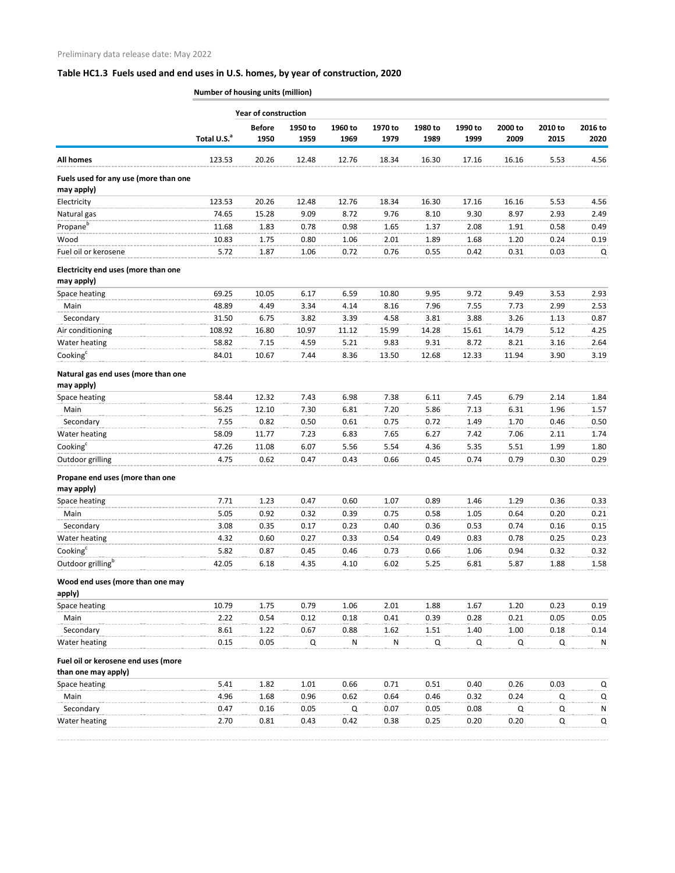## **Table HC1.3 Fuels used and end uses in U.S. homes, by year of construction, 2020**

**Number of housing units (million)**

|                                                            |                         | <b>Year of construction</b> |         |                 |                 |                 |                 |                 |                 |                 |
|------------------------------------------------------------|-------------------------|-----------------------------|---------|-----------------|-----------------|-----------------|-----------------|-----------------|-----------------|-----------------|
|                                                            |                         | <b>Before</b>               | 1950 to | 1960 to<br>1969 | 1970 to<br>1979 | 1980 to<br>1989 | 1990 to<br>1999 | 2000 to<br>2009 | 2010 to<br>2015 | 2016 to<br>2020 |
|                                                            | Total U.S. <sup>a</sup> | 1950                        | 1959    |                 |                 |                 |                 |                 |                 |                 |
| <b>All homes</b>                                           | 123.53                  | 20.26                       | 12.48   | 12.76           | 18.34           | 16.30           | 17.16           | 16.16           | 5.53            | 4.56            |
| Fuels used for any use (more than one<br>may apply)        |                         |                             |         |                 |                 |                 |                 |                 |                 |                 |
| Electricity                                                | 123.53                  | 20.26                       | 12.48   | 12.76           | 18.34           | 16.30           | 17.16           | 16.16           | 5.53            | 4.56            |
| Natural gas                                                | 74.65                   | 15.28                       | 9.09    | 8.72            | 9.76            | 8.10            | 9.30            | 8.97            | 2.93            | 2.49            |
| Propane <sup>b</sup>                                       | 11.68                   | 1.83                        | 0.78    | 0.98            | 1.65            | 1.37            | 2.08            | 1.91            | 0.58            | 0.49            |
| Wood                                                       | 10.83                   | 1.75                        | 0.80    | 1.06            | 2.01            | 1.89            | 1.68            | 1.20            | 0.24            | 0.19            |
| Fuel oil or kerosene                                       | 5.72                    | 1.87                        | 1.06    | 0.72            | 0.76            | 0.55            | 0.42            | 0.31            | 0.03            | Q               |
| Electricity end uses (more than one<br>may apply)          |                         |                             |         |                 |                 |                 |                 |                 |                 |                 |
| Space heating                                              | 69.25                   | 10.05                       | 6.17    | 6.59            | 10.80           | 9.95            | 9.72            | 9.49            | 3.53            | 2.93            |
| Main                                                       | 48.89                   | 4.49                        | 3.34    | 4.14            | 8.16            | 7.96            | 7.55            | 7.73            | 2.99            | 2.53            |
| Secondary                                                  | 31.50                   | 6.75                        | 3.82    | 3.39            | 4.58            | 3.81            | 3.88            | 3.26            | 1.13            | 0.87            |
| Air conditioning                                           | 108.92                  | 16.80                       | 10.97   | 11.12           | 15.99           | 14.28           | 15.61           | 14.79           | 5.12            | 4.25            |
| Water heating                                              | 58.82                   | 7.15                        | 4.59    | 5.21            | 9.83            | 9.31            | 8.72            | 8.21            | 3.16            | 2.64            |
| Cooking <sup>c</sup>                                       | 84.01                   | 10.67                       | 7.44    | 8.36            | 13.50           | 12.68           | 12.33           | 11.94           | 3.90            | 3.19            |
| Natural gas end uses (more than one<br>may apply)          |                         |                             |         |                 |                 |                 |                 |                 |                 |                 |
| Space heating                                              | 58.44                   | 12.32                       | 7.43    | 6.98            | 7.38            | 6.11            | 7.45            | 6.79            | 2.14            | 1.84            |
| Main                                                       | 56.25                   | 12.10                       | 7.30    | 6.81            | 7.20            | 5.86            | 7.13            | 6.31            | 1.96            | 1.57            |
| Secondary                                                  | 7.55                    | 0.82                        | 0.50    | 0.61            | 0.75            | 0.72            | 1.49            | 1.70            | 0.46            | 0.50            |
| Water heating                                              | 58.09                   | 11.77                       | 7.23    | 6.83            | 7.65            | 6.27            | 7.42            | 7.06            | 2.11            | 1.74            |
| Cooking <sup>c</sup>                                       | 47.26                   | 11.08                       | 6.07    | 5.56            | 5.54            | 4.36            | 5.35            | 5.51            | 1.99            | 1.80            |
| Outdoor grilling                                           | 4.75                    | 0.62                        | 0.47    | 0.43            | 0.66            | 0.45            | 0.74            | 0.79            | 0.30            | 0.29            |
| Propane end uses (more than one<br>may apply)              |                         |                             |         |                 |                 |                 |                 |                 |                 |                 |
| Space heating                                              | 7.71                    | 1.23                        | 0.47    | 0.60            | 1.07            | 0.89            | 1.46            | 1.29            | 0.36            | 0.33            |
| Main                                                       | 5.05                    | 0.92                        | 0.32    | 0.39            | 0.75            | 0.58            | 1.05            | 0.64            | 0.20            | 0.21            |
| Secondary                                                  | 3.08                    | 0.35                        | 0.17    | 0.23            | 0.40            | 0.36            | 0.53            | 0.74            | 0.16            | 0.15            |
| Water heating                                              | 4.32                    | 0.60                        | 0.27    | 0.33            | 0.54            | 0.49            | 0.83            | 0.78            | 0.25            | 0.23            |
| Cooking <sup>c</sup>                                       | 5.82                    | 0.87                        | 0.45    | 0.46            | 0.73            | 0.66            | 1.06            | 0.94            | 0.32            | 0.32            |
| Outdoor grilling <sup>b</sup>                              | 42.05                   | 6.18                        | 4.35    | 4.10            | 6.02            | 5.25            | 6.81            | 5.87            | 1.88            | 1.58            |
| Wood end uses (more than one may<br>apply)                 |                         |                             |         |                 |                 |                 |                 |                 |                 |                 |
| Space heating                                              | 10.79                   | 1.75                        | 0.79    | 1.06            | 2.01            | 1.88            | 1.67            | 1.20            | 0.23            | 0.19            |
| Main                                                       | 2.22                    | 0.54                        | 0.12    | 0.18            | 0.41            | 0.39            | 0.28            | 0.21            | 0.05            | 0.05            |
| Secondary                                                  | 8.61                    | 1.22                        | 0.67    | 0.88            | 1.62            | 1.51            | 1.40            | 1.00            | 0.18            | 0.14            |
| Water heating                                              | 0.15                    | 0.05                        | Q       | N               | ${\sf N}$       | Q               | Q               | Q               | Q               | N               |
| Fuel oil or kerosene end uses (more<br>than one may apply) |                         |                             |         |                 |                 |                 |                 |                 |                 |                 |
| Space heating                                              | 5.41                    | 1.82                        | 1.01    | 0.66            | 0.71            | 0.51            | 0.40            | 0.26            | 0.03            | Q               |
| Main                                                       | 4.96                    | 1.68                        | 0.96    | 0.62            | 0.64            | 0.46            | 0.32            | 0.24            | Q               | Q               |
| Secondary                                                  | 0.47                    | 0.16                        | 0.05    | Q               | 0.07            | 0.05            | 0.08            | Q               | Q               | N               |
| Water heating                                              | 2.70                    | 0.81                        | 0.43    | 0.42            | 0.38            | 0.25            | 0.20            | 0.20            | Q               | Q               |
|                                                            |                         |                             |         |                 |                 |                 |                 |                 |                 |                 |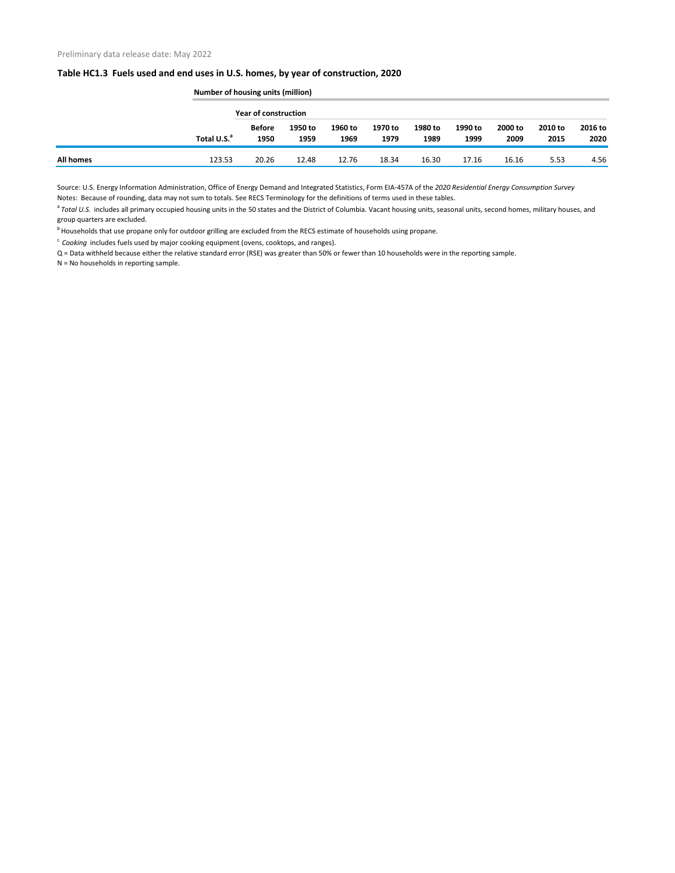## **Table HC1.3 Fuels used and end uses in U.S. homes, by year of construction, 2020**

|                  |                         | <b>Number of housing units (million)</b> |                 |                 |                 |                 |                 |                 |                 |                 |  |
|------------------|-------------------------|------------------------------------------|-----------------|-----------------|-----------------|-----------------|-----------------|-----------------|-----------------|-----------------|--|
|                  |                         | Year of construction                     |                 |                 |                 |                 |                 |                 |                 |                 |  |
|                  | Total U.S. <sup>a</sup> | <b>Before</b><br>1950                    | 1950 to<br>1959 | 1960 to<br>1969 | 1970 to<br>1979 | 1980 to<br>1989 | 1990 to<br>1999 | 2000 to<br>2009 | 2010 to<br>2015 | 2016 to<br>2020 |  |
| <b>All homes</b> | 123.53                  | 20.26                                    | 12.48           | 12.76           | 18.34           | 16.30           | 17.16           | 16.16           | 5.53            | 4.56            |  |

Source: U.S. Energy Information Administration, Office of Energy Demand and Integrated Statistics, Form EIA-457A of the *2020 Residential Energy Consumption Survey* Notes: Because of rounding, data may not sum to totals. See RECS Terminology for the definitions of terms used in these tables.

<sup>a</sup> Total U.S. includes all primary occupied housing units in the 50 states and the District of Columbia. Vacant housing units, seasonal units, second homes, military houses, and group quarters are excluded.

<sup>b</sup> Households that use propane only for outdoor grilling are excluded from the RECS estimate of households using propane.

<sup>c</sup> Cooking includes fuels used by major cooking equipment (ovens, cooktops, and ranges).

Q = Data withheld because either the relative standard error (RSE) was greater than 50% or fewer than 10 households were in the reporting sample.

N = No households in reporting sample.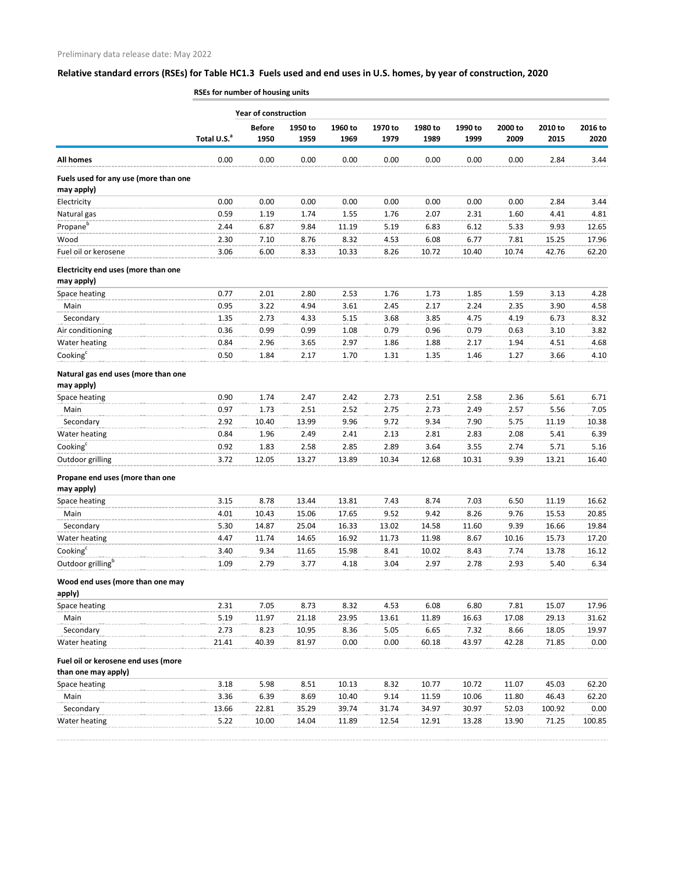## **Relative standard errors (RSEs) for Table HC1.3 Fuels used and end uses in U.S. homes, by year of construction, 2020**

|                                                            |                         | <b>Year of construction</b> |                 |                 |                 |                 |                 |                 |                 |                 |
|------------------------------------------------------------|-------------------------|-----------------------------|-----------------|-----------------|-----------------|-----------------|-----------------|-----------------|-----------------|-----------------|
|                                                            | Total U.S. <sup>a</sup> | <b>Before</b><br>1950       | 1950 to<br>1959 | 1960 to<br>1969 | 1970 to<br>1979 | 1980 to<br>1989 | 1990 to<br>1999 | 2000 to<br>2009 | 2010 to<br>2015 | 2016 to<br>2020 |
| <b>All homes</b>                                           | 0.00                    | 0.00                        | 0.00            | 0.00            | 0.00            | 0.00            | 0.00            | 0.00            | 2.84            | 3.44            |
| Fuels used for any use (more than one                      |                         |                             |                 |                 |                 |                 |                 |                 |                 |                 |
| may apply)                                                 |                         |                             |                 |                 |                 |                 |                 |                 |                 |                 |
| Electricity                                                | 0.00                    | 0.00                        | 0.00            | 0.00            | 0.00            | 0.00            | 0.00            | 0.00            | 2.84            | 3.44            |
| Natural gas                                                | 0.59                    | 1.19                        | 1.74            | 1.55            | 1.76            | 2.07            | 2.31            | 1.60            | 4.41            | 4.81            |
| Propane <sup>b</sup>                                       | 2.44                    | 6.87                        | 9.84            | 11.19           | 5.19            | 6.83            | 6.12            | 5.33            | 9.93            | 12.65           |
| Wood                                                       | 2.30                    | 7.10                        | 8.76            | 8.32            | 4.53            | 6.08            | 6.77            | 7.81            | 15.25           | 17.96           |
| Fuel oil or kerosene                                       | 3.06                    | 6.00                        | 8.33            | 10.33           | 8.26            | 10.72           | 10.40           | 10.74           | 42.76           | 62.20           |
| Electricity end uses (more than one<br>may apply)          |                         |                             |                 |                 |                 |                 |                 |                 |                 |                 |
| Space heating                                              | 0.77                    | 2.01                        | 2.80            | 2.53            | 1.76            | 1.73            | 1.85            | 1.59            | 3.13            | 4.28            |
| Main                                                       | 0.95                    | 3.22                        | 4.94            | 3.61            | 2.45            | 2.17            | 2.24            | 2.35            | 3.90            | 4.58            |
| Secondary                                                  | 1.35                    | 2.73                        | 4.33            | 5.15            | 3.68            | 3.85            | 4.75            | 4.19            | 6.73            | 8.32            |
| Air conditioning                                           | 0.36                    | 0.99                        | 0.99            | 1.08            | 0.79            | 0.96            | 0.79            | 0.63            | 3.10            | 3.82            |
| Water heating                                              | 0.84                    | 2.96                        | 3.65            | 2.97            | 1.86            | 1.88            | 2.17            | 1.94            | 4.51            | 4.68            |
| Cooking <sup>c</sup>                                       | 0.50                    | 1.84                        | 2.17            | 1.70            | 1.31            | 1.35            | 1.46            | 1.27            | 3.66            | 4.10            |
| Natural gas end uses (more than one<br>may apply)          |                         |                             |                 |                 |                 |                 |                 |                 |                 |                 |
| Space heating                                              | 0.90                    | 1.74                        | 2.47            | 2.42            | 2.73            | 2.51            | 2.58            | 2.36            | 5.61            | 6.71            |
| Main                                                       | 0.97                    | 1.73                        | 2.51            | 2.52            | 2.75            | 2.73            | 2.49            | 2.57            | 5.56            | 7.05            |
| Secondary                                                  | 2.92                    | 10.40                       | 13.99           | 9.96            | 9.72            | 9.34            | 7.90            | 5.75            | 11.19           | 10.38           |
| Water heating                                              | 0.84                    | 1.96                        | 2.49            | 2.41            | 2.13            | 2.81            | 2.83            | 2.08            | 5.41            | 6.39            |
| Cooking <sup>c</sup>                                       | 0.92                    | 1.83                        | 2.58            | 2.85            | 2.89            | 3.64            | 3.55            | 2.74            | 5.71            | 5.16            |
| Outdoor grilling                                           | 3.72                    | 12.05                       | 13.27           | 13.89           | 10.34           | 12.68           | 10.31           | 9.39            | 13.21           | 16.40           |
| Propane end uses (more than one                            |                         |                             |                 |                 |                 |                 |                 |                 |                 |                 |
| may apply)                                                 |                         |                             |                 |                 |                 |                 |                 |                 |                 |                 |
| Space heating                                              | 3.15                    | 8.78                        | 13.44           | 13.81           | 7.43            | 8.74            | 7.03            | 6.50            | 11.19           | 16.62           |
| Main                                                       | 4.01                    | 10.43                       | 15.06           | 17.65           | 9.52            | 9.42            | 8.26            | 9.76            | 15.53           | 20.85           |
| Secondary                                                  | 5.30                    | 14.87                       | 25.04           | 16.33           | 13.02           | 14.58           | 11.60           | 9.39            | 16.66           | 19.84           |
| Water heating                                              | 4.47                    | 11.74                       | 14.65           | 16.92           | 11.73           | 11.98           | 8.67            | 10.16           | 15.73           | 17.20           |
| $\textsf{Cooking}^\textsf{c}$                              | 3.40                    | 9.34                        | 11.65           | 15.98           | 8.41            | 10.02           | 8.43            | 7.74            | 13.78           | 16.12           |
| Outdoor grilling <sup>b</sup>                              | 1.09                    | 2.79                        | 3.77            | 4.18            | 3.04            | 2.97            | 2.78            | 2.93            | 5.40            | 6.34            |
| Wood end uses (more than one may<br>apply)                 |                         |                             |                 |                 |                 |                 |                 |                 |                 |                 |
| Space heating                                              | 2.31                    | 7.05                        | 8.73            | 8.32            | 4.53            | 6.08            | 6.80            | 7.81            | 15.07           | 17.96           |
| Main                                                       | 5.19                    | 11.97                       | 21.18           | 23.95           | 13.61           | 11.89           | 16.63           | 17.08           | 29.13           | 31.62           |
| Secondary                                                  | 2.73                    | 8.23                        | 10.95           | 8.36            | 5.05            | 6.65            | 7.32            | 8.66            | 18.05           | 19.97           |
| Water heating                                              | 21.41                   | 40.39                       | 81.97           | 0.00            | 0.00            | 60.18           | 43.97           | 42.28           | 71.85           | 0.00            |
| Fuel oil or kerosene end uses (more<br>than one may apply) |                         |                             |                 |                 |                 |                 |                 |                 |                 |                 |
| Space heating                                              | 3.18                    | 5.98                        | 8.51            | 10.13           | 8.32            | 10.77           | 10.72           | 11.07           | 45.03           | 62.20           |
| Main                                                       | 3.36                    | 6.39                        | 8.69            | 10.40           | 9.14            | 11.59           | 10.06           | 11.80           | 46.43           | 62.20           |
| Secondary                                                  | 13.66                   | 22.81                       | 35.29           | 39.74           | 31.74           | 34.97           | 30.97           | 52.03           | 100.92          | 0.00            |
| Water heating                                              | 5.22                    | 10.00                       | 14.04           | 11.89           | 12.54           | 12.91           | 13.28           | 13.90           | 71.25           | 100.85          |